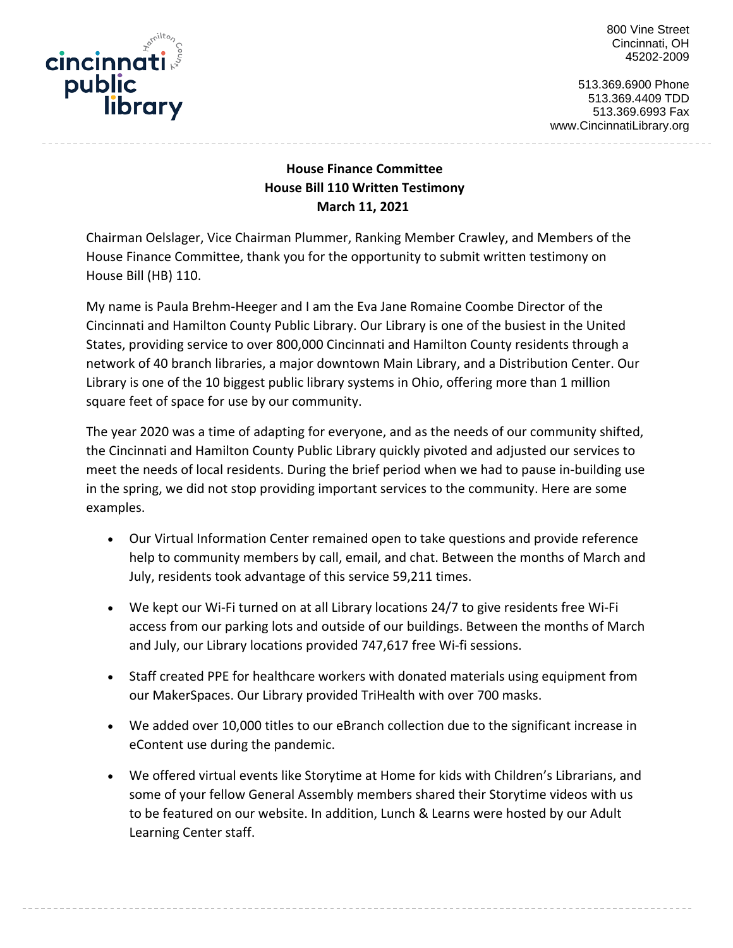nilto. cincinnati public library 800 Vine Street Cincinnati, OH 45202-2009

513.369.6900 Phone 513.369.4409 TDD 513.369.6993 Fax www.CincinnatiLibrary.org

## **House Finance Committee House Bill 110 Written Testimony March 11, 2021**

Chairman Oelslager, Vice Chairman Plummer, Ranking Member Crawley, and Members of the House Finance Committee, thank you for the opportunity to submit written testimony on House Bill (HB) 110.

My name is Paula Brehm-Heeger and I am the Eva Jane Romaine Coombe Director of the Cincinnati and Hamilton County Public Library. Our Library is one of the busiest in the United States, providing service to over 800,000 Cincinnati and Hamilton County residents through a network of 40 branch libraries, a major downtown Main Library, and a Distribution Center. Our Library is one of the 10 biggest public library systems in Ohio, offering more than 1 million square feet of space for use by our community.

The year 2020 was a time of adapting for everyone, and as the needs of our community shifted, the Cincinnati and Hamilton County Public Library quickly pivoted and adjusted our services to meet the needs of local residents. During the brief period when we had to pause in-building use in the spring, we did not stop providing important services to the community. Here are some examples.

- Our Virtual Information Center remained open to take questions and provide reference help to community members by call, email, and chat. Between the months of March and July, residents took advantage of this service 59,211 times.
- We kept our Wi-Fi turned on at all Library locations 24/7 to give residents free Wi-Fi access from our parking lots and outside of our buildings. Between the months of March and July, our Library locations provided 747,617 free Wi-fi sessions.
- Staff created PPE for healthcare workers with donated materials using equipment from our MakerSpaces. Our Library provided TriHealth with over 700 masks.
- We added over 10,000 titles to our eBranch collection due to the significant increase in eContent use during the pandemic.
- We offered virtual events like Storytime at Home for kids with Children's Librarians, and some of your fellow General Assembly members shared their Storytime videos with us to be featured on our website. In addition, Lunch & Learns were hosted by our Adult Learning Center staff.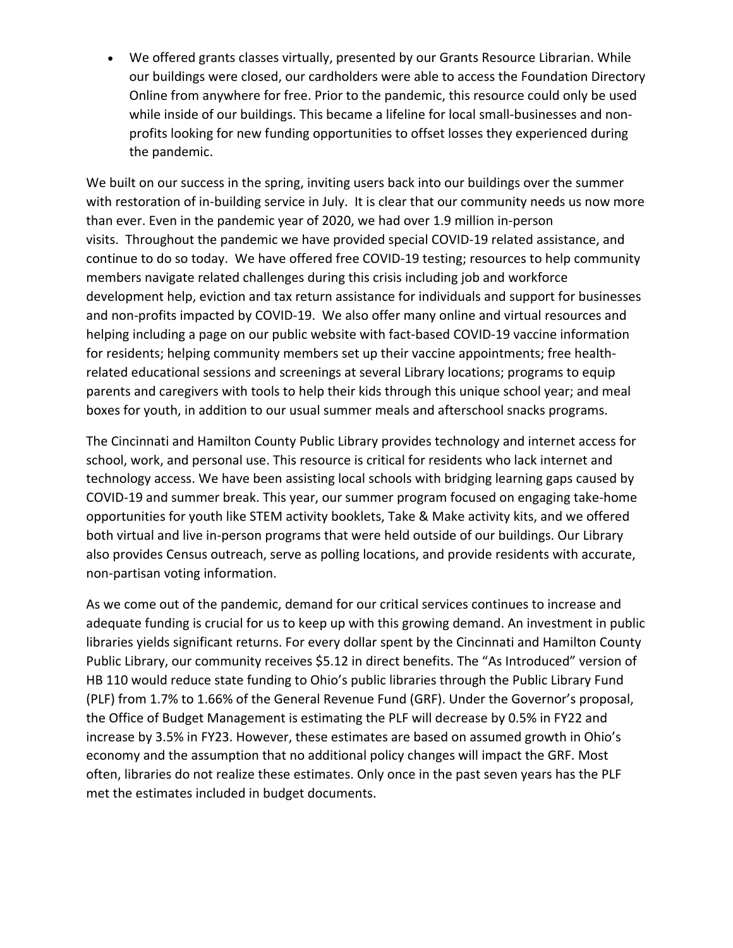• We offered grants classes virtually, presented by our Grants Resource Librarian. While our buildings were closed, our cardholders were able to access the Foundation Directory Online from anywhere for free. Prior to the pandemic, this resource could only be used while inside of our buildings. This became a lifeline for local small-businesses and nonprofits looking for new funding opportunities to offset losses they experienced during the pandemic.

We built on our success in the spring, inviting users back into our buildings over the summer with restoration of in-building service in July. It is clear that our community needs us now more than ever. Even in the pandemic year of 2020, we had over 1.9 million in-person visits. Throughout the pandemic we have provided special COVID-19 related assistance, and continue to do so today. We have offered free COVID-19 testing; resources to help community members navigate related challenges during this crisis including job and workforce development help, eviction and tax return assistance for individuals and support for businesses and non-profits impacted by COVID-19. We also offer many online and virtual resources and helping including a page on our public website with fact-based COVID-19 vaccine information for residents; helping community members set up their vaccine appointments; free healthrelated educational sessions and screenings at several Library locations; programs to equip parents and caregivers with tools to help their kids through this unique school year; and meal boxes for youth, in addition to our usual summer meals and afterschool snacks programs.

The Cincinnati and Hamilton County Public Library provides technology and internet access for school, work, and personal use. This resource is critical for residents who lack internet and technology access. We have been assisting local schools with bridging learning gaps caused by COVID-19 and summer break. This year, our summer program focused on engaging take-home opportunities for youth like STEM activity booklets, Take & Make activity kits, and we offered both virtual and live in-person programs that were held outside of our buildings. Our Library also provides Census outreach, serve as polling locations, and provide residents with accurate, non-partisan voting information.

As we come out of the pandemic, demand for our critical services continues to increase and adequate funding is crucial for us to keep up with this growing demand. An investment in public libraries yields significant returns. For every dollar spent by the Cincinnati and Hamilton County Public Library, our community receives \$5.12 in direct benefits. The "As Introduced" version of HB 110 would reduce state funding to Ohio's public libraries through the Public Library Fund (PLF) from 1.7% to 1.66% of the General Revenue Fund (GRF). Under the Governor's proposal, the Office of Budget Management is estimating the PLF will decrease by 0.5% in FY22 and increase by 3.5% in FY23. However, these estimates are based on assumed growth in Ohio's economy and the assumption that no additional policy changes will impact the GRF. Most often, libraries do not realize these estimates. Only once in the past seven years has the PLF met the estimates included in budget documents.